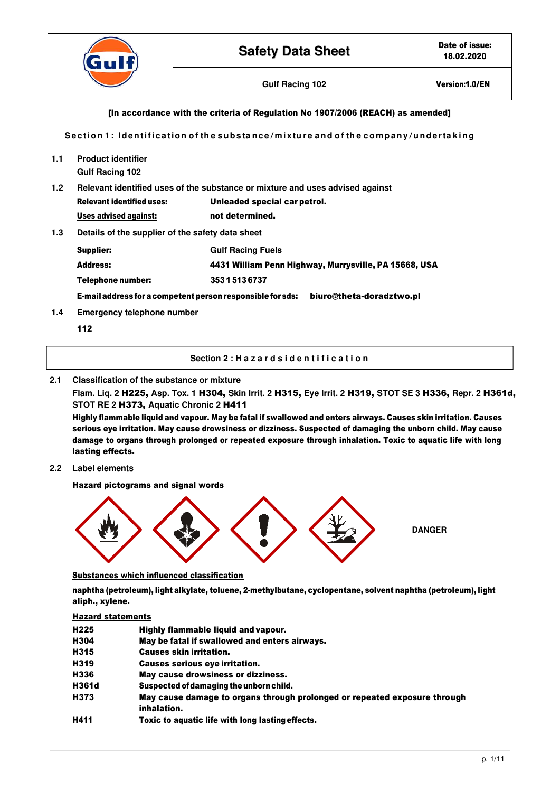

# [In accordance with the criteria of Regulation No 1907/2006 (REACH) as amended]

Section 1: Identification of the substance/mixture and of the company/undertaking

- **1.1 Product identifier Gulf Racing 102**
- **1.2 Relevant identified uses of the substance or mixture and uses advised against**

| <b>Relevant identified uses:</b> | Unleaded special carpetrol. |
|----------------------------------|-----------------------------|
| Uses advised against:            | not determined.             |

**1.3 Details of the supplier of the safety data sheet** 

| Supplier:         | <b>Gulf Racing Fuels</b>                              |
|-------------------|-------------------------------------------------------|
| Address:          | 4431 William Penn Highway, Murrysville, PA 15668, USA |
| Telephone number: | 35315136737                                           |

E-mail address for a competent person responsible for sds: [biuro@theta-doradztwo.pl](mailto:biuro@theta-doradztwo.pl)

- **1.4 Emergency telephone number** 
	- 112

#### **Section 2 : H a z a r d s i d e n t i f i c a t i o n**

#### **2.1 Classification of the substance or mixture**

**Flam. Liq. 2** H225, **Asp. Tox. 1** H304, **Skin Irrit. 2** H315, **Eye Irrit. 2** H319, **STOT SE 3** H336, **Repr. 2** H361d, **STOT RE 2** H373, **Aquatic Chronic 2** H411

Highly flammable liquid and vapour. May be fatal if swallowed and enters airways. Causes skin irritation. Causes serious eye irritation. May cause drowsiness or dizziness. Suspected of damaging the unborn child. May cause damage to organs through prolonged or repeated exposure through inhalation. Toxic to aquatic life with long lasting effects.

**2.2 Label elements** 

Hazard pictograms and signal words



Substances which influenced classification

naphtha (petroleum), light alkylate, toluene, 2-methylbutane, cyclopentane, solvent naphtha (petroleum), light aliph., xylene.

#### Hazard statements

| H <sub>225</sub> | Highly flammable liquid and vapour.                                                      |
|------------------|------------------------------------------------------------------------------------------|
| H304             | May be fatal if swallowed and enters airways.                                            |
| H315             | <b>Causes skin irritation.</b>                                                           |
| H319             | <b>Causes serious eve irritation.</b>                                                    |
| H336             | May cause drowsiness or dizziness.                                                       |
| H361d            | Suspected of damaging the unborn child.                                                  |
| H373             | May cause damage to organs through prolonged or repeated exposure through<br>inhalation. |
| H411             | Toxic to aquatic life with long lasting effects.                                         |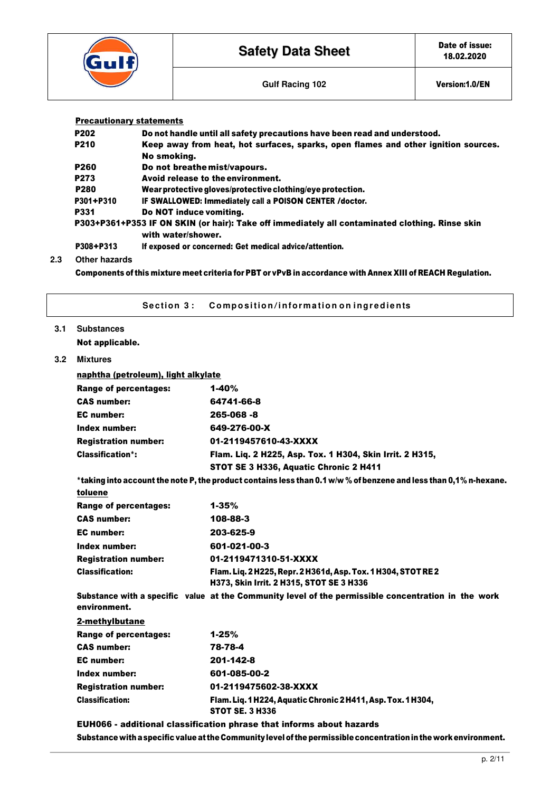| $G$ ulf $f$ | <b>Safety Data Sheet</b> | Date of issue:<br>18.02.2020 |
|-------------|--------------------------|------------------------------|
|             | <b>Gulf Racing 102</b>   | Version:1.0/EN               |

| <b>Precautionary statements</b> |                                                                                                                       |
|---------------------------------|-----------------------------------------------------------------------------------------------------------------------|
| <b>P202</b>                     | Do not handle until all safety precautions have been read and understood.                                             |
| <b>P210</b>                     | Keep away from heat, hot surfaces, sparks, open flames and other ignition sources.<br>No smokina.                     |
| <b>P260</b>                     | Do not breathe mist/vapours.                                                                                          |
| P273                            | Avoid release to the environment.                                                                                     |
| <b>P280</b>                     | Wear protective gloves/protective clothing/eye protection.                                                            |
| P301+P310                       | IF SWALLOWED: Immediately call a POISON CENTER / doctor.                                                              |
| <b>P331</b>                     | Do NOT induce vomiting.                                                                                               |
|                                 | P303+P361+P353 IF ON SKIN (or hair): Take off immediately all contaminated clothing. Rinse skin<br>with water/shower. |
| P308+P313                       | If exposed or concerned: Get medical advice/attention.                                                                |

# **2.3 Other hazards**

 $3.1$ 

**3.2 Mixtures** 

Components of this mixture meet criteria for PBT or vPvB in accordance with Annex XIII of REACH Regulation.

| Section 3:                          | Composition/information on ingredients                                                                            |
|-------------------------------------|-------------------------------------------------------------------------------------------------------------------|
| <b>Substances</b>                   |                                                                                                                   |
| Not applicable.                     |                                                                                                                   |
| <b>Mixtures</b>                     |                                                                                                                   |
| naphtha (petroleum), light alkylate |                                                                                                                   |
| <b>Range of percentages:</b>        | $1 - 40%$                                                                                                         |
| <b>CAS number:</b>                  | 64741-66-8                                                                                                        |
| <b>EC</b> number:                   | 265-068 -8                                                                                                        |
| Index number:                       | 649-276-00-X                                                                                                      |
| <b>Registration number:</b>         | 01-2119457610-43-XXXX                                                                                             |
| <b>Classification*:</b>             | Flam. Liq. 2 H225, Asp. Tox. 1 H304, Skin Irrit. 2 H315,                                                          |
|                                     | STOT SE 3 H336, Aquatic Chronic 2 H411                                                                            |
|                                     | *taking into account the note P, the product contains less than 0.1 w/w % of benzene and less than 0,1% n-hexane. |
| toluene                             |                                                                                                                   |
| <b>Range of percentages:</b>        | $1 - 35%$                                                                                                         |
| <b>CAS number:</b>                  | 108-88-3                                                                                                          |
| <b>EC</b> number:                   | 203-625-9                                                                                                         |
| Index number:                       | 601-021-00-3                                                                                                      |
| <b>Registration number:</b>         | 01-2119471310-51-XXXX                                                                                             |
| <b>Classification:</b>              | Flam. Liq. 2 H225, Repr. 2 H361d, Asp. Tox. 1 H304, STOT RE2<br>H373, Skin Irrit. 2 H315, STOT SE 3 H336          |
| environment.                        | Substance with a specific value at the Community level of the permissible concentration in the work               |
| 2-methylbutane                      |                                                                                                                   |
| <b>Range of percentages:</b>        | $1 - 25%$                                                                                                         |
| <b>CAS number:</b>                  | 78-78-4                                                                                                           |
| <b>EC</b> number:                   | 201-142-8                                                                                                         |
| Index number:                       | 601-085-00-2                                                                                                      |
| <b>Registration number:</b>         | 01-2119475602-38-XXXX                                                                                             |
| <b>Classification:</b>              | Flam. Liq. 1 H224, Aquatic Chronic 2 H411, Asp. Tox. 1 H304,<br><b>STOT SE. 3 H336</b>                            |
|                                     | EUH066 - additional classification phrase that informs about hazards                                              |
|                                     | Substance with a specific value at the Community level of the permissible concentration in the work environment.  |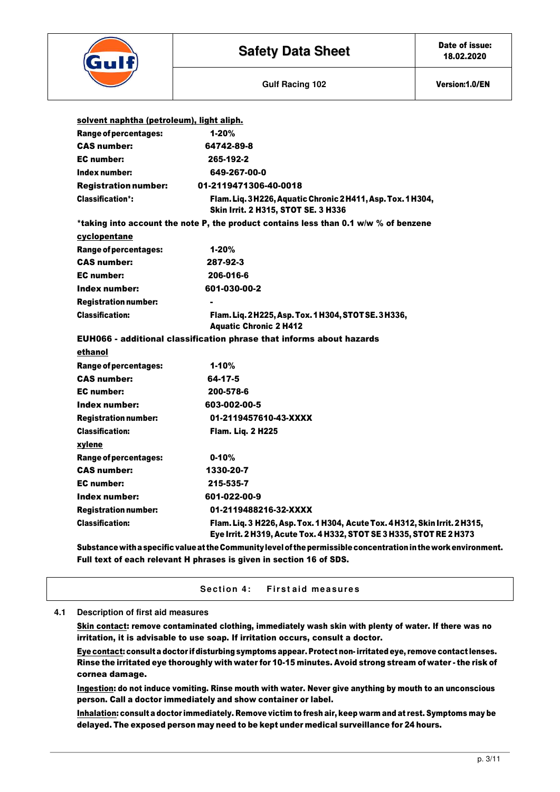

| solvent naphtha (petroleum), light aliph. |                                                                                                                                                     |
|-------------------------------------------|-----------------------------------------------------------------------------------------------------------------------------------------------------|
| <b>Range of percentages:</b>              | $1 - 20%$                                                                                                                                           |
| <b>CAS number:</b>                        | 64742-89-8                                                                                                                                          |
| <b>EC</b> number:                         | 265-192-2                                                                                                                                           |
| Index number:                             | 649-267-00-0                                                                                                                                        |
| <b>Registration number:</b>               | 01-2119471306-40-0018                                                                                                                               |
| <b>Classification*:</b>                   | Flam. Liq. 3 H226, Aquatic Chronic 2 H411, Asp. Tox. 1 H304,<br>Skin Irrit. 2 H315, STOT SE. 3 H336                                                 |
|                                           | *taking into account the note P, the product contains less than 0.1 w/w % of benzene                                                                |
| cyclopentane                              |                                                                                                                                                     |
| Range of percentages:                     | $1 - 20%$                                                                                                                                           |
| <b>CAS number:</b>                        | 287-92-3                                                                                                                                            |
| <b>EC</b> number:                         | 206-016-6                                                                                                                                           |
| Index number:                             | 601-030-00-2                                                                                                                                        |
| <b>Registration number:</b>               |                                                                                                                                                     |
| <b>Classification:</b>                    | Flam. Liq. 2H225, Asp. Tox. 1H304, STOTSE. 3H336,<br><b>Aquatic Chronic 2 H412</b>                                                                  |
|                                           | EUH066 - additional classification phrase that informs about hazards                                                                                |
| ethanol                                   |                                                                                                                                                     |
| Range of percentages:                     | $1 - 10%$                                                                                                                                           |
| <b>CAS number:</b>                        | 64-17-5                                                                                                                                             |
| <b>EC</b> number:                         | 200-578-6                                                                                                                                           |
| Index number:                             | 603-002-00-5                                                                                                                                        |
| <b>Registration number:</b>               | 01-2119457610-43-XXXX                                                                                                                               |
| <b>Classification:</b>                    | <b>Flam. Liq. 2 H225</b>                                                                                                                            |
| xylene                                    |                                                                                                                                                     |
| Range of percentages:                     | $0 - 10%$                                                                                                                                           |
| <b>CAS number:</b>                        | 1330-20-7                                                                                                                                           |
| <b>EC</b> number:                         | 215-535-7                                                                                                                                           |
| Index number:                             | 601-022-00-9                                                                                                                                        |
| <b>Registration number:</b>               | 01-2119488216-32-XXXX                                                                                                                               |
| <b>Classification:</b>                    | Flam. Liq. 3 H226, Asp. Tox. 1 H304, Acute Tox. 4 H312, Skin Irrit. 2 H315,<br>Eye Irrit. 2 H319, Acute Tox. 4 H332, STOT SE 3 H335, STOT RE 2 H373 |
|                                           | Substance with a specific value at the Community level of the nermissible concentration in the work environme                                       |

Substance with a specific value at the Community level of the permissible concentration in the work environment. Full text of each relevant H phrases is given in section 16 of SDS.

Section 4: First aid measures

#### **4.1 Description of first aid measures**

Skin contact: remove contaminated clothing, immediately wash skin with plenty of water. If there was no irritation, it is advisable to use soap. If irritation occurs, consult a doctor.

Eye contact: consult a doctor if disturbing symptoms appear. Protect non- irritated eye, remove contact lenses. Rinse the irritated eye thoroughly with water for 10-15 minutes. Avoid strong stream of water - the risk of cornea damage.

Ingestion: do not induce vomiting. Rinse mouth with water. Never give anything by mouth to an unconscious person. Call a doctor immediately and show container or label.

Inhalation: consult a doctor immediately. Remove victim to fresh air, keep warm and at rest. Symptoms may be delayed. The exposed person may need to be kept under medical surveillance for 24 hours.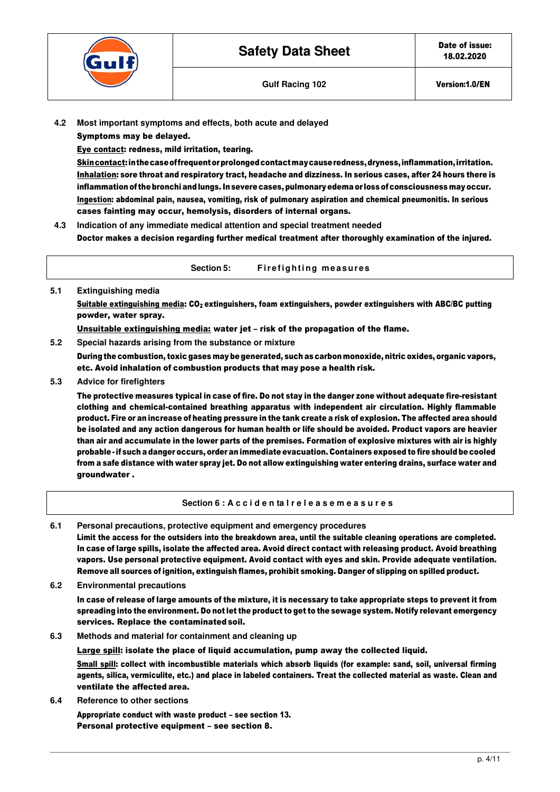

Symptoms may be delayed.

Eye contact: redness, mild irritation, tearing.

Skin contact: in the case of frequent or prolonged contact may cause redness, dryness, inflammation, irritation. Inhalation: sore throat and respiratory tract, headache and dizziness. In serious cases, after 24 hours there is inflammation of the bronchi and lungs. In severe cases, pulmonary edema or loss of consciousness may occur. Ingestion: abdominal pain, nausea, vomiting, risk of pulmonary aspiration and chemical pneumonitis. In serious cases fainting may occur, hemolysis, disorders of internal organs.

- **4.3 Indication of any immediate medical attention and special treatment needed**  Doctor makes a decision regarding further medical treatment after thoroughly examination of the injured.
	- Section 5: Fire fighting measures
- **5.1 Extinguishing media**  Suitable extinguishing media: CO<sub>2</sub> extinguishers, foam extinguishers, powder extinguishers with ABC/BC putting powder, water spray. Unsuitable extinguishing media: water jet – risk of the propagation of the flame.
- **5.2 Special hazards arising from the substance or mixture**

During the combustion, toxic gases may be generated, such as carbon monoxide, nitric oxides, organic vapors, etc. Avoid inhalation of combustion products that may pose a health risk.

**5.3 Advice for firefighters** 

The protective measures typical in case of fire. Do not stay in the danger zone without adequate fire-resistant clothing and chemical-contained breathing apparatus with independent air circulation. Highly flammable product. Fire or an increase of heating pressure in the tank create a risk of explosion. The affected area should be isolated and any action dangerous for human health or life should be avoided. Product vapors are heavier than air and accumulate in the lower parts of the premises. Formation of explosive mixtures with air is highly probable - if such a danger occurs, order an immediate evacuation. Containers exposed to fire should be cooled from a safe distance with water spray jet. Do not allow extinguishing water entering drains, surface water and groundwater .

**Section 6 : A c c i d e n ta l r e l e a s e m e a s u r e s** 

**6.1 Personal precautions, protective equipment and emergency procedures** 

Limit the access for the outsiders into the breakdown area, until the suitable cleaning operations are completed. In case of large spills, isolate the affected area. Avoid direct contact with releasing product. Avoid breathing vapors. Use personal protective equipment. Avoid contact with eyes and skin. Provide adequate ventilation. Remove all sources of ignition, extinguish flames, prohibit smoking. Danger of slipping on spilled product.

**6.2 Environmental precautions** 

In case of release of large amounts of the mixture, it is necessary to take appropriate steps to prevent it from spreading into the environment. Do not let the product to get to the sewage system. Notify relevant emergency services. Replace the contaminated soil.

**6.3 Methods and material for containment and cleaning up** 

Large spill: isolate the place of liquid accumulation, pump away the collected liquid.

Small spill: collect with incombustible materials which absorb liquids (for example: sand, soil, universal firming agents, silica, vermiculite, etc.) and place in labeled containers. Treat the collected material as waste. Clean and ventilate the affected area.

**6.4 Reference to other sections** 

Appropriate conduct with waste product – see section 13. Personal protective equipment – see section 8.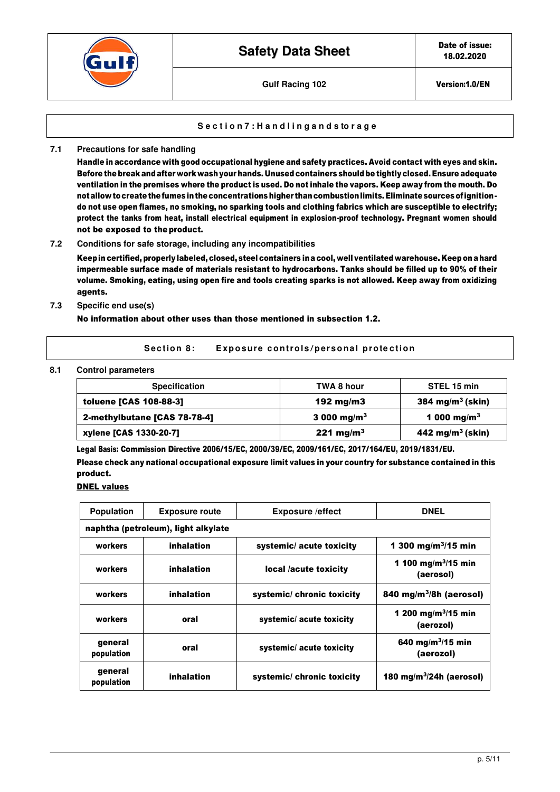

#### **S e c t i o n 7 : H a n d l i n g a n d s to r a g e**

**7.1 Precautions for safe handling** 

Handle in accordance with good occupational hygiene and safety practices. Avoid contact with eyes and skin. Before the break and after work wash your hands. Unused containers should be tightly closed. Ensure adequate ventilation in the premises where the product is used. Do not inhale the vapors. Keep away from the mouth. Do not allow to create the fumes in the concentrations higher than combustion limits. Eliminate sources of ignition do not use open flames, no smoking, no sparking tools and clothing fabrics which are susceptible to electrify; protect the tanks from heat, install electrical equipment in explosion-proof technology. Pregnant women should not be exposed to the product.

#### **7.2 Conditions for safe storage, including any incompatibilities**

Keep in certified, properly labeled, closed, steel containers in a cool, well ventilated warehouse. Keep on a hard impermeable surface made of materials resistant to hydrocarbons. Tanks should be filled up to 90% of their volume. Smoking, eating, using open fire and tools creating sparks is not allowed. Keep away from oxidizing agents.

#### **7.3 Specific end use(s)**

No information about other uses than those mentioned in subsection 1.2.

Section 8: Exposure controls/personal protection

#### **8.1 Control parameters**

| <b>Specification</b>          | TWA 8 hour              | STEL 15 min                         |
|-------------------------------|-------------------------|-------------------------------------|
| <b>toluene [CAS 108-88-3]</b> | 192 mg/m $3$            | $384 \text{ mg/m}^3 \text{ (skin)}$ |
| 2-methylbutane [CAS 78-78-4]  | 3 000 mg/m <sup>3</sup> | 1 000 mg/m <sup>3</sup>             |
| xylene [CAS 1330-20-7]        | 221 mg/m <sup>3</sup>   | 442 mg/m <sup>3</sup> (skin)        |

Legal Basis: Commission Directive 2006/15/EC, 2000/39/EC, 2009/161/EC, 2017/164/EU, 2019/1831/EU.

Please check any national occupational exposure limit values in your country for substance contained in this product.

# **DNEL values**

| <b>Population</b>     | <b>Exposure route</b>               | <b>Exposure /effect</b>   | <b>DNEL</b>                                  |
|-----------------------|-------------------------------------|---------------------------|----------------------------------------------|
|                       | naphtha (petroleum), light alkylate |                           |                                              |
| workers               | inhalation                          | systemic/ acute toxicity  | 1 300 mg/m <sup>3</sup> /15 min              |
| workers               | inhalation                          | local /acute toxicity     | 1 100 mg/m <sup>3</sup> /15 min<br>(aerosol) |
| workers               | inhalation                          | systemic/chronic toxicity | 840 mg/m $3/8h$ (aerosol)                    |
| workers               | oral                                | systemic/acute toxicity   | 1 200 mg/m <sup>3</sup> /15 min<br>(aerozol) |
| general<br>population | oral                                | systemic/ acute toxicity  | 640 mg/m $3/15$ min<br>(aerozol)             |
| general<br>population | inhalation                          | systemic/chronic toxicity | 180 mg/m $3/24h$ (aerosol)                   |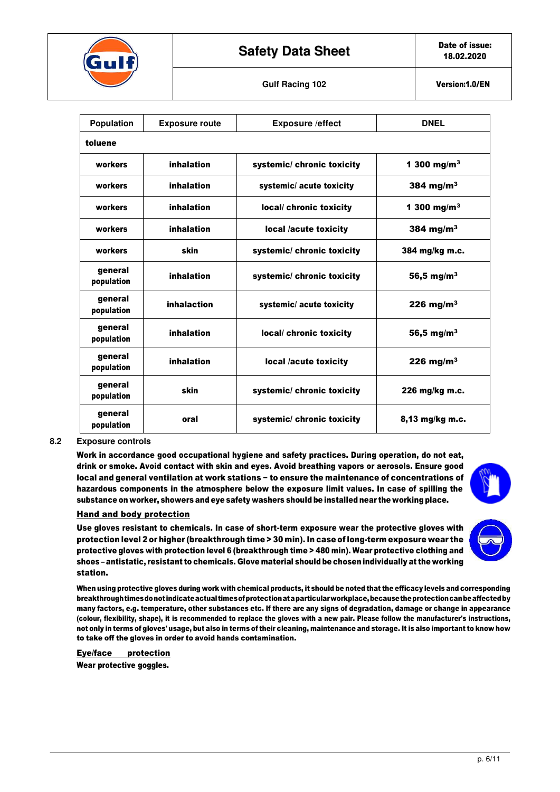

# **Safety Data Sheet** Date of issue:

| <b>Population</b>     | <b>Exposure route</b> | <b>Exposure /effect</b>    | <b>DNEL</b>             |
|-----------------------|-----------------------|----------------------------|-------------------------|
| toluene               |                       |                            |                         |
| workers               | inhalation            | systemic/ chronic toxicity | 1 300 mg/m <sup>3</sup> |
| workers               | inhalation            | systemic/ acute toxicity   | 384 mg/m $3$            |
| workers               | inhalation            | local/ chronic toxicity    | 1 300 mg/m <sup>3</sup> |
| workers               | inhalation            | local /acute toxicity      | 384 mg/m $3$            |
| workers               | skin                  | systemic/ chronic toxicity | 384 mg/kg m.c.          |
| general<br>population | inhalation            | systemic/chronic toxicity  | 56,5 mg/m <sup>3</sup>  |
| general<br>population | inhalaction           | systemic/ acute toxicity   | 226 mg/m $3$            |
| general<br>population | inhalation            | local/ chronic toxicity    | 56,5 mg/m <sup>3</sup>  |
| general<br>population | inhalation            | local /acute toxicity      | 226 mg/m $3$            |
| general<br>population | skin                  | systemic/ chronic toxicity | 226 mg/kg m.c.          |
| general<br>population | oral                  | systemic/chronic toxicity  | $8,13$ mg/kg m.c.       |

#### **8.2 Exposure controls**

Work in accordance good occupational hygiene and safety practices. During operation, do not eat, drink or smoke. Avoid contact with skin and eyes. Avoid breathing vapors or aerosols. Ensure good local and general ventilation at work stations − to ensure the maintenance of concentrations of hazardous components in the atmosphere below the exposure limit values. In case of spilling the substance on worker, showers and eye safety washers should be installed near the working place.



#### Hand and body protection

Use gloves resistant to chemicals. In case of short-term exposure wear the protective gloves with protection level 2 or higher (breakthrough time > 30 min). In case of long-term exposure wear the protective gloves with protection level 6 (breakthrough time > 480 min). Wear protective clothing and shoes – antistatic, resistant to chemicals. Glove material should be chosen individually at the working station.

When using protective gloves during work with chemical products, it should be noted that the efficacy levels and corresponding breakthrough times donot indicate actual times of protection at a particular workplace, because the protection canbe affected by many factors, e.g. temperature, other substances etc. If there are any signs of degradation, damage or change in appearance (colour, flexibility, shape), it is recommended to replace the gloves with a new pair. Please follow the manufacturer's instructions, not only in terms of gloves' usage, but also in terms of their cleaning, maintenance and storage. It is also important to know how to take off the gloves in order to avoid hands contamination.

Eye/face protection

Wear protective goggles.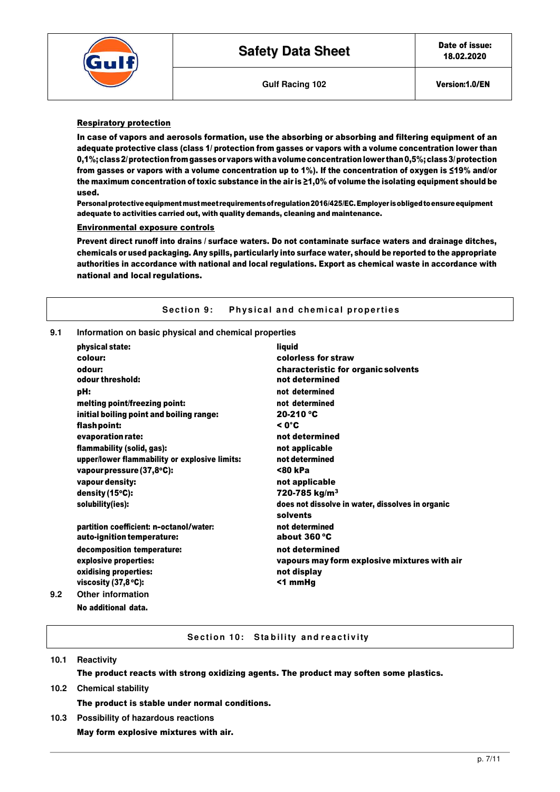



# Respiratory protection

In case of vapors and aerosols formation, use the absorbing or absorbing and filtering equipment of an adequate protective class (class 1/ protection from gasses or vapors with a volume concentration lower than 0,1%; class 2/ protection from gasses or vapors with a volume concentration lower than 0,5%; class 3/ protection from gasses or vapors with a volume concentration up to 1%). If the concentration of oxygen is ≤19% and/or the maximum concentration of toxic substance in the air is ≥1,0% of volume the isolating equipment should be used.

Personal protective equipment must meet requirements of regulation 2016/425/EC. Employer is obliged to ensure equipment adequate to activities carried out, with quality demands, cleaning and maintenance.

#### Environmental exposure controls

Prevent direct runoff into drains / surface waters. Do not contaminate surface waters and drainage ditches, chemicals or used packaging. Any spills, particularly into surface water, should be reported to the appropriate authorities in accordance with national and local regulations. Export as chemical waste in accordance with national and local regulations.

#### **Section 9:** Physical and chemical properties

#### **9.1 Information on basic physical and chemical properties**

|     | physical state:                               | liguid                                                       |
|-----|-----------------------------------------------|--------------------------------------------------------------|
|     | colour:                                       | colorless for straw                                          |
|     | odour:                                        | characteristic for organic solvents                          |
|     | odour threshold:                              | not determined                                               |
|     | pH:                                           | not determined                                               |
|     | melting point/freezing point:                 | not determined                                               |
|     | initial boiling point and boiling range:      | $20-210$ °C                                                  |
|     | flash point:                                  | $< 0^{\circ}$ C                                              |
|     | evaporation rate:                             | not determined                                               |
|     | flammability (solid, gas):                    | not applicable                                               |
|     | upper/lower flammability or explosive limits: | not determined                                               |
|     | vapour pressure (37,8°C):                     | <80 kPa                                                      |
|     | vapour density:                               | not applicable                                               |
|     | density $(15^{\circ}C)$ :                     | 720-785 kg/m <sup>3</sup>                                    |
|     | solubility(ies):                              | does not dissolve in water, dissolves in organic<br>solvents |
|     | partition coefficient: n-octanol/water:       | not determined                                               |
|     | auto-ignition temperature:                    | about 360 °C                                                 |
|     | decomposition temperature:                    | not determined                                               |
|     | explosive properties:                         | vapours may form explosive mixtures with air                 |
|     | oxidising properties:                         | not display                                                  |
|     | viscosity $(37,8^{\circ}C)$ :                 | <1 mmHg                                                      |
| 9.2 | Other information                             |                                                              |
|     | No additional data.                           |                                                              |

# **Section 10: Stability and reactivity**

# **10.1 Reactivity**  The product reacts with strong oxidizing agents. The product may soften some plastics. **10.2 Chemical stability**  The product is stable under normal conditions.

**10.3 Possibility of hazardous reactions**  May form explosive mixtures with air.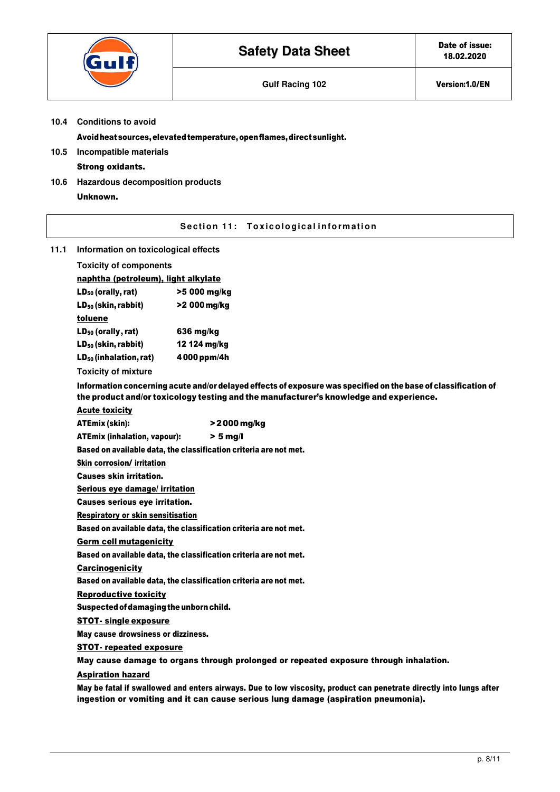|                                                                                       |                                              | <b>Safety Data Sheet</b>                                                                                                                                                                                 | Date of issue:<br>18.02.2020 |
|---------------------------------------------------------------------------------------|----------------------------------------------|----------------------------------------------------------------------------------------------------------------------------------------------------------------------------------------------------------|------------------------------|
|                                                                                       |                                              | <b>Gulf Racing 102</b>                                                                                                                                                                                   | Version:1.0/EN               |
| 10.4                                                                                  | <b>Conditions to avoid</b>                   |                                                                                                                                                                                                          |                              |
|                                                                                       |                                              | Avoid heat sources, elevated temperature, open flames, direct sunlight.                                                                                                                                  |                              |
| 10.5                                                                                  | Incompatible materials                       |                                                                                                                                                                                                          |                              |
|                                                                                       | <b>Strong oxidants.</b>                      |                                                                                                                                                                                                          |                              |
| 10.6                                                                                  | Hazardous decomposition products<br>Unknown. |                                                                                                                                                                                                          |                              |
|                                                                                       |                                              | Section 11: Toxicological information                                                                                                                                                                    |                              |
| 11.1                                                                                  | Information on toxicological effects         |                                                                                                                                                                                                          |                              |
|                                                                                       | <b>Toxicity of components</b>                |                                                                                                                                                                                                          |                              |
|                                                                                       | naphtha (petroleum), light alkylate          |                                                                                                                                                                                                          |                              |
|                                                                                       | $LD_{50}$ (orally, rat)                      | >5 000 mg/kg                                                                                                                                                                                             |                              |
|                                                                                       | $LD_{50}$ (skin, rabbit)                     | >2 000 mg/kg                                                                                                                                                                                             |                              |
|                                                                                       | toluene                                      |                                                                                                                                                                                                          |                              |
|                                                                                       | $LD_{50}$ (orally, rat)                      | 636 mg/kg                                                                                                                                                                                                |                              |
|                                                                                       | $LD_{50}$ (skin, rabbit)                     | 12 124 mg/kg                                                                                                                                                                                             |                              |
|                                                                                       | $LD_{50}$ (inhalation, rat)                  | 4000 ppm/4h                                                                                                                                                                                              |                              |
|                                                                                       | <b>Toxicity of mixture</b>                   |                                                                                                                                                                                                          |                              |
|                                                                                       |                                              | Information concerning acute and/or delayed effects of exposure was specified on the base of classification of<br>the product and/or toxicology testing and the manufacturer's knowledge and experience. |                              |
|                                                                                       | <b>Acute toxicity</b>                        |                                                                                                                                                                                                          |                              |
|                                                                                       | <b>ATEmix (skin):</b>                        | >2000 mg/kg                                                                                                                                                                                              |                              |
|                                                                                       | <b>ATEmix (inhalation, vapour):</b>          | $> 5$ mg/l                                                                                                                                                                                               |                              |
|                                                                                       | <b>Skin corrosion/ irritation</b>            | Based on available data, the classification criteria are not met.                                                                                                                                        |                              |
|                                                                                       | <b>Causes skin irritation.</b>               |                                                                                                                                                                                                          |                              |
|                                                                                       | Serious eye damage/ irritation               |                                                                                                                                                                                                          |                              |
|                                                                                       | <b>Causes serious eye irritation.</b>        |                                                                                                                                                                                                          |                              |
|                                                                                       | <b>Respiratory or skin sensitisation</b>     |                                                                                                                                                                                                          |                              |
|                                                                                       |                                              | Based on available data, the classification criteria are not met.                                                                                                                                        |                              |
|                                                                                       | <b>Germ cell mutagenicity</b>                |                                                                                                                                                                                                          |                              |
|                                                                                       |                                              | Based on available data, the classification criteria are not met.                                                                                                                                        |                              |
|                                                                                       | <b>Carcinogenicity</b>                       |                                                                                                                                                                                                          |                              |
|                                                                                       |                                              | Based on available data, the classification criteria are not met.                                                                                                                                        |                              |
|                                                                                       | <b>Reproductive toxicity</b>                 |                                                                                                                                                                                                          |                              |
|                                                                                       | Suspected of damaging the unborn child.      |                                                                                                                                                                                                          |                              |
|                                                                                       | <b>STOT- single exposure</b>                 |                                                                                                                                                                                                          |                              |
|                                                                                       | May cause drowsiness or dizziness.           |                                                                                                                                                                                                          |                              |
|                                                                                       | <b>STOT- repeated exposure</b>               |                                                                                                                                                                                                          |                              |
| May cause damage to organs through prolonged or repeated exposure through inhalation. |                                              |                                                                                                                                                                                                          |                              |
|                                                                                       | <b>Aspiration hazard</b>                     |                                                                                                                                                                                                          |                              |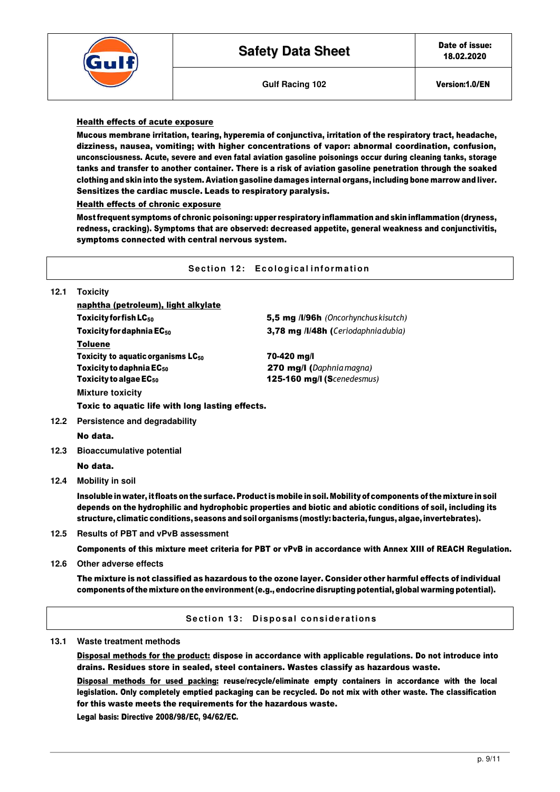



# Health effects of acute exposure

Mucous membrane irritation, tearing, hyperemia of conjunctiva, irritation of the respiratory tract, headache, dizziness, nausea, vomiting; with higher concentrations of vapor: abnormal coordination, confusion, unconsciousness. Acute, severe and even fatal aviation gasoline poisonings occur during cleaning tanks, storage tanks and transfer to another container. There is a risk of aviation gasoline penetration through the soaked clothing and skin into the system. Aviation gasoline damages internal organs, including bone marrow and liver. Sensitizes the cardiac muscle. Leads to respiratory paralysis.

#### Health effects of chronic exposure

Most frequent symptoms of chronic poisoning: upper respiratory inflammation and skin inflammation (dryness, redness, cracking). Symptoms that are observed: decreased appetite, general weakness and conjunctivitis, symptoms connected with central nervous system.

#### **Section 12: Ecological information**

| 12.1 | <b>Toxicity</b>                                  |              |  |  |
|------|--------------------------------------------------|--------------|--|--|
|      | naphtha (petroleum), light alkylate              |              |  |  |
|      | Toxicity for fish $LG_{50}$                      | 5,5 mg /l/96 |  |  |
|      | Toxicity for daphnia $EC_{50}$                   | 3,78 mg /l/4 |  |  |
|      | <b>Toluene</b>                                   |              |  |  |
|      | Toxicity to aguatic organisms $LC_{50}$          | 70-420 mg/l  |  |  |
|      | Toxicity to daphnia $EC_{50}$                    | 270 mg/l (L  |  |  |
|      | Toxicity to algae $EC_{50}$                      | 125-160 mg   |  |  |
|      | <b>Mixture toxicity</b>                          |              |  |  |
|      | Toxic to aquatic life with long lasting effects. |              |  |  |
|      |                                                  |              |  |  |

**h** (Oncorhynchus kisutch) **8h (**Ceriodaphnia dubia)

Toxicity to daphnia EC<sup>50</sup> 270 mg/l (*Daphnia magna)*  $J/I(Scene desmus)$ 

#### **12.2 Persistence and degradability**

No data.

**12.3 Bioaccumulative potential** 

No data.

**12.4 Mobility in soil** 

Insoluble in water, it floats on the surface. Product is mobile in soil. Mobility of components of the mixture in soil depends on the hydrophilic and hydrophobic properties and biotic and abiotic conditions of soil, including its structure, climatic conditions, seasons and soil organisms (mostly: bacteria, fungus, algae, invertebrates).

**12.5 Results of PBT and vPvB assessment** 

Components of this mixture meet criteria for PBT or vPvB in accordance with Annex XIII of REACH Regulation.

**12.6 Other adverse effects** 

The mixture is not classified as hazardous to the ozone layer. Consider other harmful effects of individual components of the mixture on the environment (e.g., endocrine disrupting potential, global warming potential).

**Section 13: Disposal considerations** 

**13.1 Waste treatment methods** 

Disposal methods for the product: dispose in accordance with applicable regulations. Do not introduce into drains. Residues store in sealed, steel containers. Wastes classify as hazardous waste.

Disposal methods for used packing: reuse/recycle/eliminate empty containers in accordance with the local legislation. Only completely emptied packaging can be recycled. Do not mix with other waste. The classification for this waste meets the requirements for the hazardous waste.

Legal basis: Directive 2008/98/EC, 94/62/EC.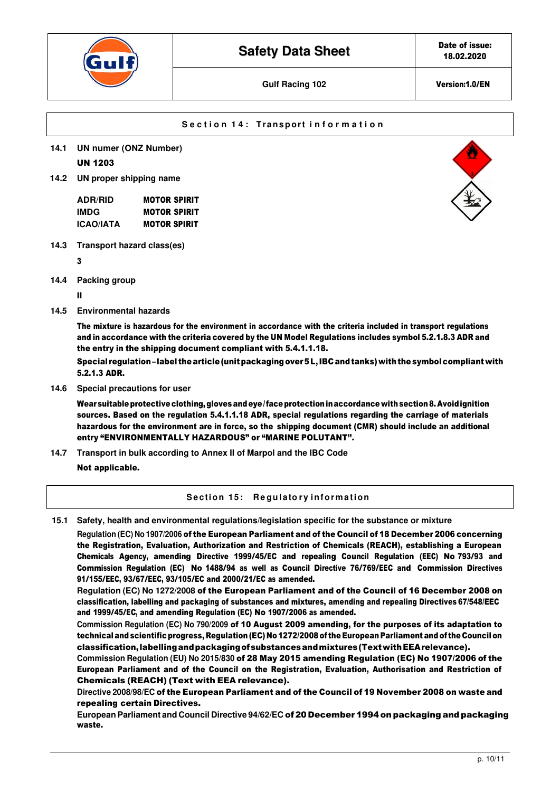

# **Section 14: Transport information**

- **14.1 UN numer (ONZ Number)** UN 1203
- **14.2 UN proper shipping name**

| <b>ADR/RID</b> | <b>MOTOR SPIRIT</b> |
|----------------|---------------------|
| IMDG           | <b>MOTOR SPIRIT</b> |
| ICAO/IATA      | <b>MOTOR SPIRIT</b> |

**14.3 Transport hazard class(es)** 

3

**14.4 Packing group** 

II

**14.5 Environmental hazards** 

The mixture is hazardous for the environment in accordance with the criteria included in transport regulations and in accordance with the criteria covered by the UN Model Regulations includes symbol 5.2.1.8.3 ADR and the entry in the shipping document compliant with 5.4.1.1.18.

Special regulation – label the article (unit packaging over 5 L, IBC and tanks) with the symbol compliant with 5.2.1.3 ADR.

**14.6 Special precautions for user** 

Wear suitable protective clothing, gloves and eye / face protection in accordance with section 8. Avoid ignition sources. Based on the regulation 5.4.1.1.18 ADR, special regulations regarding the carriage of materials hazardous for the environment are in force, so the shipping document (CMR) should include an additional entry "ENVIRONMENTALLY HAZARDOUS" or "MARINE POLUTANT''.

**14.7 Transport in bulk according to Annex II of Marpol and the IBC Code** 

Not applicable.

# **Section 15: Regulatory information**

**15.1 Safety, health and environmental regulations/legislation specific for the substance or mixture** 

**Regulation (EC) No 1907/2006** of the European Parliament and of the Council of 18 December 2006 concerning the Registration, Evaluation, Authorization and Restriction of Chemicals (REACH), establishing a European Chemicals Agency, amending Directive 1999/45/EC and repealing Council Regulation (EEC) No 793/93 and Commission Regulation (EC) No 1488/94 as well as Council Directive 76/769/EEC and Commission Directives 91/155/EEC, 93/67/EEC, 93/105/EC and 2000/21/EC as amended.

**Regulation (EC) No 1272/2008** of the European Parliament and of the Council of 16 December 2008 on classification, labelling and packaging of substances and mixtures, amending and repealing Directives 67/548/EEC and 1999/45/EC, and amending Regulation (EC) No 1907/2006 as amended.

**Commission Regulation (EC) No 790/2009** of 10 August 2009 amending, for the purposes of its adaptation to technical and scientific progress, Regulation (EC) No 1272/2008 of the European Parliament and of the Council on classification, labelling and packaging of substances and mixtures (Text with EEA relevance).

**Commission Regulation (EU) No 2015/830** of 28 May 2015 amending Regulation (EC) No 1907/2006 of the European Parliament and of the Council on the Registration, Evaluation, Authorisation and Restriction of Chemicals (REACH) (Text with EEA relevance).

**Directive 2008/98/EC** of the European Parliament and of the Council of 19 November 2008 on waste and repealing certain Directives.

**European Parliament and Council Directive 94/62/EC** of20 December 1994on packaging andpackaging waste.